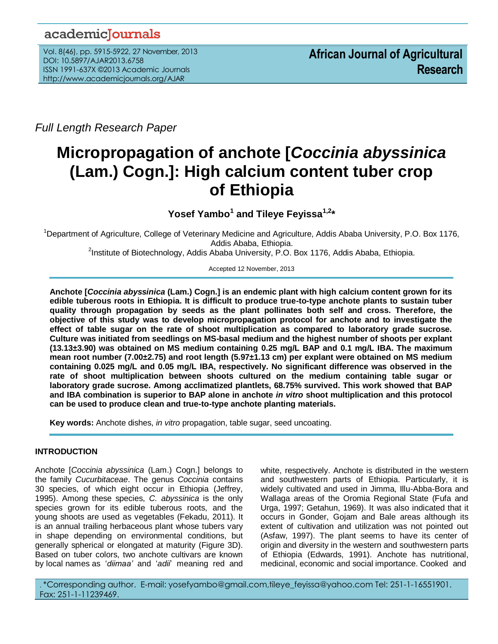# academicJournals

Vol. 8(46), pp. 5915-5922, 27 November, 2013 DOI: 10.5897/AJAR2013.6758 ISSN 1991-637X ©2013 Academic Journals http://www.academicjournals.org/AJAR

*Full Length Research Paper*

# **Micropropagation of anchote [***Coccinia abyssinica* **(Lam.) Cogn.]: High calcium content tuber crop of Ethiopia**

**Yosef Yambo<sup>1</sup> and Tileye Feyissa1,2\***

<sup>1</sup>Department of Agriculture, College of Veterinary Medicine and Agriculture, Addis Ababa University, P.O. Box 1176, Addis Ababa, Ethiopia.

<sup>2</sup>Institute of Biotechnology, Addis Ababa University, P.O. Box 1176, Addis Ababa, Ethiopia.

Accepted 12 November, 2013

**Anchote [***Coccinia abyssinica* **(Lam.) Cogn.] is an endemic plant with high calcium content grown for its edible tuberous roots in Ethiopia. It is difficult to produce true-to-type anchote plants to sustain tuber quality through propagation by seeds as the plant pollinates both self and cross. Therefore, the objective of this study was to develop micropropagation protocol for anchote and to investigate the effect of table sugar on the rate of shoot multiplication as compared to laboratory grade sucrose. Culture was initiated from seedlings on MS-basal medium and the highest number of shoots per explant (13.13±3.90) was obtained on MS medium containing 0.25 mg/L BAP and 0.1 mg/L IBA. The maximum mean root number (7.00±2.75) and root length (5.97±1.13 cm) per explant were obtained on MS medium containing 0.025 mg/L and 0.05 mg/L IBA, respectively. No significant difference was observed in the rate of shoot multiplication between shoots cultured on the medium containing table sugar or laboratory grade sucrose. Among acclimatized plantlets, 68.75% survived. This work showed that BAP and IBA combination is superior to BAP alone in anchote** *in vitro* **shoot multiplication and this protocol can be used to produce clean and true-to-type anchote planting materials.**

**Key words:** Anchote dishes, *in vitro* propagation, table sugar, seed uncoating.

# **INTRODUCTION**

Anchote [*Coccinia abyssinica* (Lam.) Cogn.] belongs to the family *Cucurbitaceae*. The genus *Coccinia* contains 30 species, of which eight occur in Ethiopia (Jeffrey, 1995). Among these species, *C. abyssinica* is the only species grown for its edible tuberous roots, and the young shoots are used as vegetables (Fekadu, 2011). It is an annual trailing herbaceous plant whose tubers vary in shape depending on environmental conditions, but generally spherical or elongated at maturity (Figure 3D). Based on tuber colors, two anchote cultivars are known by local names as '*diimaa'* and '*adii*' meaning red and

white, respectively. Anchote is distributed in the western and southwestern parts of Ethiopia. Particularly, it is widely cultivated and used in Jimma, Illu-Abba-Bora and Wallaga areas of the Oromia Regional State (Fufa and Urga, 1997; Getahun, 1969). It was also indicated that it occurs in Gonder, Gojam and Bale areas although its extent of cultivation and utilization was not pointed out (Asfaw, 1997). The plant seems to have its center of origin and diversity in the western and southwestern parts of Ethiopia (Edwards, 1991). Anchote has nutritional, medicinal, economic and social importance. Cooked and

. \*Corresponding author. E-mail: [yosefyambo@gmail.com,](mailto:yosefyambo@gmail.com)[tileye\\_feyissa@yahoo.com](mailto:tileye_feyissa@yahoo.com) Tel: 251-1-16551901. Fax: 251-1-11239469.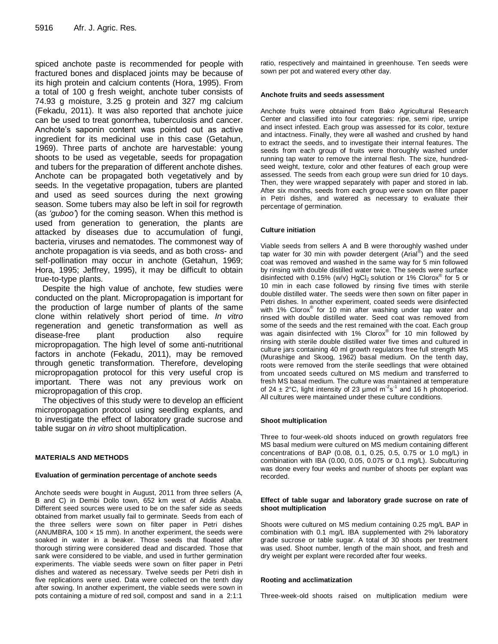spiced anchote paste is recommended for people with fractured bones and displaced joints may be because of its high protein and calcium contents (Hora, 1995). From a total of 100 g fresh weight, anchote tuber consists of 74.93 g moisture, 3.25 g protein and 327 mg calcium (Fekadu, 2011). It was also reported that anchote juice can be used to treat gonorrhea, tuberculosis and cancer. Anchote's saponin content was pointed out as active ingredient for its medicinal use in this case (Getahun, 1969). Three parts of anchote are harvestable: young shoots to be used as vegetable, seeds for propagation and tubers for the preparation of different anchote dishes. Anchote can be propagated both vegetatively and by seeds. In the vegetative propagation, tubers are planted and used as seed sources during the next growing season. Some tubers may also be left in soil for regrowth (as *'guboo'*) for the coming season. When this method is used from generation to generation, the plants are attacked by diseases due to accumulation of fungi, bacteria, viruses and nematodes. The commonest way of anchote propagation is via seeds, and as both cross- and self-pollination may occur in anchote (Getahun, 1969; Hora, 1995; Jeffrey, 1995), it may be difficult to obtain true-to-type plants.

Despite the high value of anchote, few studies were conducted on the plant. Micropropagation is important for the production of large number of plants of the same clone within relatively short period of time. *In vitro* regeneration and genetic transformation as well as disease-free plant production also require micropropagation. The high level of some anti-nutritional factors in anchote (Fekadu, 2011), may be removed through genetic transformation. Therefore, developing micropropagation protocol for this very useful crop is important. There was not any previous work on micropropagation of this crop.

The objectives of this study were to develop an efficient micropropagation protocol using seedling explants, and to investigate the effect of laboratory grade sucrose and table sugar on *in vitro* shoot multiplication.

# **MATERIALS AND METHODS**

# **Evaluation of germination percentage of anchote seeds**

Anchote seeds were bought in August, 2011 from three sellers (A, B and C) in Dembi Dollo town, 652 km west of Addis Ababa. Different seed sources were used to be on the safer side as seeds obtained from market usually fail to germinate. Seeds from each of the three sellers were sown on filter paper in Petri dishes (ANUMBRA, 100  $\times$  15 mm). In another experiment, the seeds were soaked in water in a beaker. Those seeds that floated after thorough stirring were considered dead and discarded. Those that sank were considered to be viable, and used in further germination experiments. The viable seeds were sown on filter paper in Petri dishes and watered as necessary. Twelve seeds per Petri dish in five replications were used. Data were collected on the tenth day after sowing. In another experiment, the viable seeds were sown in pots containing a mixture of red soil, compost and sand in a 2:1:1 ratio, respectively and maintained in greenhouse. Ten seeds were sown per pot and watered every other day.

#### **Anchote fruits and seeds assessment**

Anchote fruits were obtained from Bako Agricultural Research Center and classified into four categories: ripe, semi ripe, unripe and insect infested. Each group was assessed for its color, texture and intactness. Finally, they were all washed and crushed by hand to extract the seeds, and to investigate their internal features. The seeds from each group of fruits were thoroughly washed under running tap water to remove the internal flesh. The size, hundredseed weight, texture, color and other features of each group were assessed. The seeds from each group were sun dried for 10 days. Then, they were wrapped separately with paper and stored in lab. After six months, seeds from each group were sown on filter paper in Petri dishes, and watered as necessary to evaluate their percentage of germination.

# **Culture initiation**

Viable seeds from sellers A and B were thoroughly washed under tap water for 30 min with powder detergent (Arial®) and the seed coat was removed and washed in the same way for 5 min followed by rinsing with double distilled water twice. The seeds were surface disinfected with 0.15% (w/v) HgCl<sub>2</sub> solution or 1% Clorox® for 5 or 10 min in each case followed by rinsing five times with sterile double distilled water. The seeds were then sown on filter paper in Petri dishes. In another experiment, coated seeds were disinfected with 1% Clorox<sup>®</sup> for 10 min after washing under tap water and rinsed with double distilled water. Seed coat was removed from some of the seeds and the rest remained with the coat. Each group was again disinfected with 1% Clorox® for 10 min followed by rinsing with sterile double distilled water five times and cultured in culture jars containing 40 ml growth regulators free full strength MS (Murashige and Skoog, 1962) basal medium. On the tenth day, roots were removed from the sterile seedlings that were obtained from uncoated seeds cultured on MS medium and transferred to fresh MS basal medium. The culture was maintained at temperature of 24  $\pm$  2°C, light intensity of 23 µmol m<sup>-2</sup>s<sup>-1</sup> and 16 h photoperiod. All cultures were maintained under these culture conditions.

# **Shoot multiplication**

Three to four-week-old shoots induced on growth regulators free MS basal medium were cultured on MS medium containing different concentrations of BAP (0.08, 0.1, 0.25, 0.5, 0.75 or 1.0 mg/L) in combination with IBA (0.00, 0.05, 0.075 or 0.1 mg/L). Subculturing was done every four weeks and number of shoots per explant was recorded.

#### **Effect of table sugar and laboratory grade sucrose on rate of shoot multiplication**

Shoots were cultured on MS medium containing 0.25 mg/L BAP in combination with 0.1 mg/L IBA supplemented with 2% laboratory grade sucrose or table sugar. A total of 30 shoots per treatment was used. Shoot number, length of the main shoot, and fresh and dry weight per explant were recorded after four weeks.

#### **Rooting and acclimatization**

Three-week-old shoots raised on multiplication medium were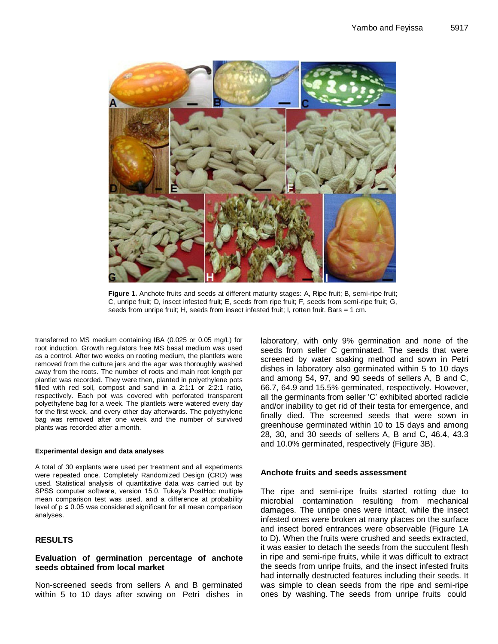

Figure 1. Anchote fruits and seeds at different maturity stages: A, Ripe fruit; B, semi-ripe fruit; C, unripe fruit; D, insect infested fruit; E, seeds from ripe fruit; F, seeds from semi-ripe fruit; G, seeds from unripe fruit; H, seeds from insect infested fruit; I, rotten fruit. Bars = 1 cm.

transferred to MS medium containing IBA (0.025 or 0.05 mg/L) for root induction. Growth regulators free MS basal medium was used as a control. After two weeks on rooting medium, the plantlets were removed from the culture jars and the agar was thoroughly washed away from the roots. The number of roots and main root length per plantlet was recorded. They were then, planted in polyethylene pots filled with red soil, compost and sand in a 2:1:1 or 2:2:1 ratio, respectively. Each pot was covered with perforated transparent polyethylene bag for a week. The plantlets were watered every day for the first week, and every other day afterwards. The polyethylene bag was removed after one week and the number of survived plants was recorded after a month.

#### **Experimental design and data analyses**

A total of 30 explants were used per treatment and all experiments were repeated once. Completely Randomized Design (CRD) was used. Statistical analysis of quantitative data was carried out by SPSS computer software, version 15.0. Tukey's PostHoc multiple mean comparison test was used, and a difference at probability level of  $p \le 0.05$  was considered significant for all mean comparison analyses.

# **RESULTS**

# **Evaluation of germination percentage of anchote seeds obtained from local market**

Non-screened seeds from sellers A and B germinated within 5 to 10 days after sowing on Petri dishes in laboratory, with only 9% germination and none of the seeds from seller C germinated. The seeds that were screened by water soaking method and sown in Petri dishes in laboratory also germinated within 5 to 10 days and among 54, 97, and 90 seeds of sellers A, B and C, 66.7, 64.9 and 15.5% germinated, respectively. However, all the germinants from seller 'C' exhibited aborted radicle and/or inability to get rid of their testa for emergence, and finally died. The screened seeds that were sown in greenhouse germinated within 10 to 15 days and among 28, 30, and 30 seeds of sellers A, B and C, 46.4, 43.3 and 10.0% germinated, respectively (Figure 3B).

# **Anchote fruits and seeds assessment**

The ripe and semi-ripe fruits started rotting due to microbial contamination resulting from mechanical damages. The unripe ones were intact, while the insect infested ones were broken at many places on the surface and insect bored entrances were observable (Figure 1A to D). When the fruits were crushed and seeds extracted, it was easier to detach the seeds from the succulent flesh in ripe and semi-ripe fruits, while it was difficult to extract the seeds from unripe fruits, and the insect infested fruits had internally destructed features including their seeds. It was simple to clean seeds from the ripe and semi-ripe ones by washing. The seeds from unripe fruits could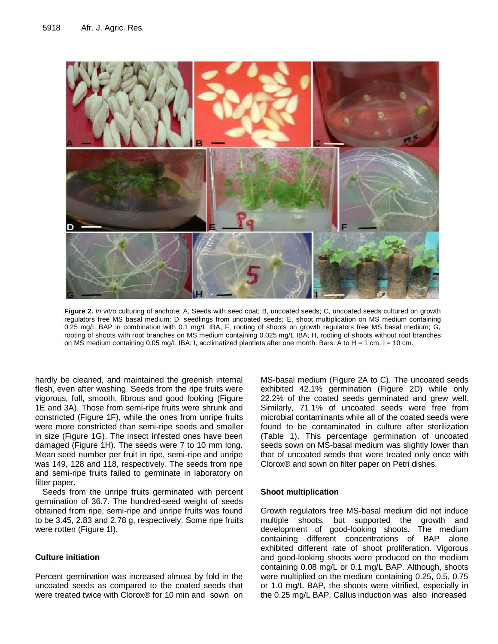

**Figure 2.** *In vitro* culturing of anchote: A, Seeds with seed coat; B, uncoated seeds; C, uncoated seeds cultured on growth regulators free MS basal medium; D, seedlings from uncoated seeds; E, shoot multiplication on MS medium containing 0.25 mg/L BAP in combination with 0.1 mg/L IBA; F, rooting of shoots on growth regulators free MS basal medium; G, rooting of shoots with root branches on MS medium containing 0.025 mg/L IBA; H, rooting of shoots without root branches on MS medium containing 0.05 mg/L IBA; I, acclimatized plantlets after one month. Bars: A to H = 1 cm, I = 10 cm.

hardly be cleaned, and maintained the greenish internal flesh, even after washing. Seeds from the ripe fruits were vigorous, full, smooth, fibrous and good looking (Figure 1E and 3A). Those from semi-ripe fruits were shrunk and constricted (Figure 1F), while the ones from unripe fruits were more constricted than semi-ripe seeds and smaller in size (Figure 1G). The insect infested ones have been damaged (Figure 1H). The seeds were 7 to 10 mm long. Mean seed number per fruit in ripe, semi-ripe and unripe was 149, 128 and 118, respectively. The seeds from ripe and semi-ripe fruits failed to germinate in laboratory on filter paper.

Seeds from the unripe fruits germinated with percent germination of 36.7. The hundred-seed weight of seeds obtained from ripe, semi-ripe and unripe fruits was found to be 3.45, 2.83 and 2.78 g, respectively. Some ripe fruits were rotten (Figure 1I).

# **Culture initiation**

Percent germination was increased almost by fold in the uncoated seeds as compared to the coated seeds that were treated twice with Clorox® for 10 min and sown on

MS-basal medium (Figure 2A to C). The uncoated seeds exhibited 42.1% germination (Figure 2D) while only 22.2% of the coated seeds germinated and grew well. Similarly, 71.1% of uncoated seeds were free from microbial contaminants while all of the coated seeds were found to be contaminated in culture after sterilization (Table 1). This percentage germination of uncoated seeds sown on MS-basal medium was slightly lower than that of uncoated seeds that were treated only once with Clorox® and sown on filter paper on Petri dishes.

# **Shoot multiplication**

Growth regulators free MS-basal medium did not induce multiple shoots, but supported the growth and development of good-looking shoots. The medium containing different concentrations of BAP alone exhibited different rate of shoot proliferation. Vigorous and good-looking shoots were produced on the medium containing 0.08 mg/L or 0.1 mg/L BAP. Although, shoots were multiplied on the medium containing 0.25, 0.5, 0.75 or 1.0 mg/L BAP, the shoots were vitrified, especially in the 0.25 mg/L BAP. Callus induction was also increased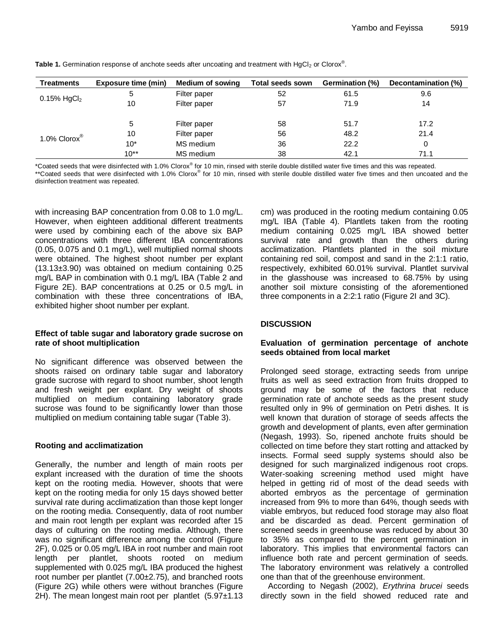| <b>Treatments</b>                                            | <b>Exposure time (min)</b> | <b>Medium of sowing</b> | Total seeds sown | Germination (%) | Decontamination (%) |
|--------------------------------------------------------------|----------------------------|-------------------------|------------------|-----------------|---------------------|
| $0.15\%$ HgCl <sub>2</sub>                                   | 5                          | Filter paper            | 52               | 61.5            | 9.6                 |
|                                                              | 10                         | Filter paper            | 57               | 71.9            | 14                  |
| 1.0% $\textsf{Clorx}^{\textcircled{\tiny{\textregistered}}}$ | 5                          | Filter paper            | 58               | 51.7            | 17.2                |
|                                                              | 10                         | Filter paper            | 56               | 48.2            | 21.4                |
|                                                              | $10*$                      | MS medium               | 36               | 22.2            | 0                   |
|                                                              | $10**$                     | MS medium               | 38               | 42.1            | 71.1                |

Table 1. Germination response of anchote seeds after uncoating and treatment with HgCl<sub>2</sub> or Clorox®.

\*Coated seeds that were disinfected with 1.0% Clorox® for 10 min, rinsed with sterile double distilled water five times and this was repeated.

\*\*Coated seeds that were disinfected with 1.0% Clorox® for 10 min, rinsed with sterile double distilled water five times and then uncoated and the disinfection treatment was repeated.

with increasing BAP concentration from 0.08 to 1.0 mg/L. However, when eighteen additional different treatments were used by combining each of the above six BAP concentrations with three different IBA concentrations (0.05, 0.075 and 0.1 mg/L), well multiplied normal shoots were obtained. The highest shoot number per explant (13.13±3.90) was obtained on medium containing 0.25 mg/L BAP in combination with 0.1 mg/L IBA (Table 2 and Figure 2E). BAP concentrations at 0.25 or 0.5 mg/L in combination with these three concentrations of IBA, exhibited higher shoot number per explant.

# **Effect of table sugar and laboratory grade sucrose on rate of shoot multiplication**

No significant difference was observed between the shoots raised on ordinary table sugar and laboratory grade sucrose with regard to shoot number, shoot length and fresh weight per explant. Dry weight of shoots multiplied on medium containing laboratory grade sucrose was found to be significantly lower than those multiplied on medium containing table sugar (Table 3).

# **Rooting and acclimatization**

Generally, the number and length of main roots per explant increased with the duration of time the shoots kept on the rooting media. However, shoots that were kept on the rooting media for only 15 days showed better survival rate during acclimatization than those kept longer on the rooting media. Consequently, data of root number and main root length per explant was recorded after 15 days of culturing on the rooting media. Although, there was no significant difference among the control (Figure 2F), 0.025 or 0.05 mg/L IBA in root number and main root length per plantlet, shoots rooted on medium supplemented with 0.025 mg/L IBA produced the highest root number per plantlet (7.00±2.75), and branched roots (Figure 2G) while others were without branches (Figure 2H). The mean longest main root per plantlet (5.97±1.13 cm) was produced in the rooting medium containing 0.05 mg/L IBA (Table 4). Plantlets taken from the rooting medium containing 0.025 mg/L IBA showed better survival rate and growth than the others during acclimatization. Plantlets planted in the soil mixture containing red soil, compost and sand in the 2:1:1 ratio, respectively, exhibited 60.01% survival. Plantlet survival in the glasshouse was increased to 68.75% by using another soil mixture consisting of the aforementioned three components in a 2:2:1 ratio (Figure 2I and 3C).

# **DISCUSSION**

# **Evaluation of germination percentage of anchote seeds obtained from local market**

Prolonged seed storage, extracting seeds from unripe fruits as well as seed extraction from fruits dropped to ground may be some of the factors that reduce germination rate of anchote seeds as the present study resulted only in 9% of germination on Petri dishes. It is well known that duration of storage of seeds affects the growth and development of plants, even after germination (Negash, 1993). So, ripened anchote fruits should be collected on time before they start rotting and attacked by insects. Formal seed supply systems should also be designed for such marginalized indigenous root crops. Water-soaking screening method used might have helped in getting rid of most of the dead seeds with aborted embryos as the percentage of germination increased from 9% to more than 64%, though seeds with viable embryos, but reduced food storage may also float and be discarded as dead. Percent germination of screened seeds in greenhouse was reduced by about 30 to 35% as compared to the percent germination in laboratory. This implies that environmental factors can influence both rate and percent germination of seeds. The laboratory environment was relatively a controlled one than that of the greenhouse environment.

According to Negash (2002), *Erythrina brucei* seeds directly sown in the field showed reduced rate and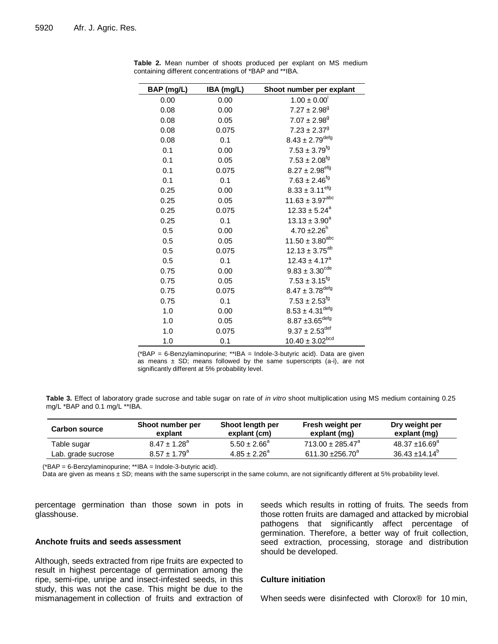| BAP (mg/L) | IBA (mg/L) | Shoot number per explant        |
|------------|------------|---------------------------------|
| 0.00       | 0.00       | $1.00 \pm 0.00$ <sup>'</sup>    |
| 0.08       | 0.00       | $7.27 \pm 2.98$ <sup>g</sup>    |
| 0.08       | 0.05       | $7.07 \pm 2.98$ <sup>g</sup>    |
| 0.08       | 0.075      | $7.23 \pm 2.37^9$               |
| 0.08       | 0.1        | $8.43 \pm 2.79^{\rm defg}$      |
| 0.1        | 0.00       | $7.53 \pm 3.79^{fg}$            |
| 0.1        | 0.05       | $7.53 \pm 2.08^{fg}$            |
| 0.1        | 0.075      | $8.27 \pm 2.98^{\rm efg}$       |
| 0.1        | 0.1        | $7.63 \pm 2.46^{fg}$            |
| 0.25       | 0.00       | $8.33 \pm 3.11^{efg}$           |
| 0.25       | 0.05       | $11.63 \pm 3.97^{abc}$          |
| 0.25       | 0.075      | $12.33 \pm 5.24^a$              |
| 0.25       | 0.1        | $13.13 \pm 3.90^a$              |
| 0.5        | 0.00       | $4.70 \pm 2.26^h$               |
| 0.5        | 0.05       | $11.50 \pm 3.80^{\text{abc}}$   |
| 0.5        | 0.075      | $12.13 \pm 3.75^{ab}$           |
| 0.5        | 0.1        | $12.43 \pm 4.17^a$              |
| 0.75       | 0.00       | $9.83 \pm 3.30^{\text{cde}}$    |
| 0.75       | 0.05       | $7.53 \pm 3.15^{fg}$            |
| 0.75       | 0.075      | $8.47 \pm 3.78^{\text{defg}}$   |
| 0.75       | 0.1        | $7.53 \pm 2.53^{fg}$            |
| 1.0        | 0.00       | $8.53 \pm 4.31^{\text{defg}}$   |
| 1.0        | 0.05       | $8.87 \pm 3.65$ <sup>defg</sup> |
| 1.0        | 0.075      | $9.37 \pm 2.53^{\text{def}}$    |
| 1.0        | 0.1        | $10.40 \pm 3.02^{bcd}$          |

**Table 2.** Mean number of shoots produced per explant on MS medium containing different concentrations of \*BAP and \*\*IBA.

(\*BAP = 6-Benzylaminopurine; \*\*IBA = Indole-3-butyric acid). Data are given as means  $\pm$  SD; means followed by the same superscripts (a-i), are not significantly different at 5% probability level.

**Table 3.** Effect of laboratory grade sucrose and table sugar on rate of *in vitro* shoot multiplication using MS medium containing 0.25 mg/L \*BAP and 0.1 mg/L \*\*IBA.

| <b>Carbon source</b> | Shoot number per<br>explant  | Shoot length per<br>explant (cm) | Fresh weight per<br>explant (mg) | Dry weight per<br>explant (mg) |
|----------------------|------------------------------|----------------------------------|----------------------------------|--------------------------------|
| Table sugar          | $8.47 \pm 1.28$ <sup>a</sup> | $5.50 \pm 2.66^{\circ}$          | $713.00 \pm 285.47$ <sup>a</sup> | $48.37 + 16.69^a$              |
| Lab. grade sucrose   | $8.57 \pm 1.79^{\circ}$      | $4.85 \pm 2.26^a$                | 611.30 $\pm 256.70^a$            | $36.43 \pm 14.14^b$            |

(\*BAP = 6-Benzylaminopurine; \*\*IBA = Indole-3-butyric acid).

Data are given as means ± SD; means with the same superscript in the same column, are not significantly different at 5% probability level.

percentage germination than those sown in pots in glasshouse.

# **Anchote fruits and seeds assessment**

Although, seeds extracted from ripe fruits are expected to result in highest percentage of germination among the ripe, semi-ripe, unripe and insect-infested seeds, in this study, this was not the case. This might be due to the mismanagement in collection of fruits and extraction of seeds which results in rotting of fruits. The seeds from those rotten fruits are damaged and attacked by microbial pathogens that significantly affect percentage of germination. Therefore, a better way of fruit collection, seed extraction, processing, storage and distribution should be developed.

#### **Culture initiation**

When seeds were disinfected with Clorox® for 10 min,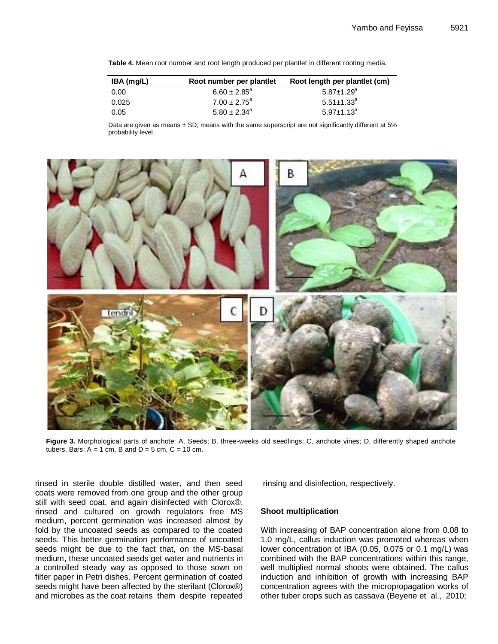**Table 4.** Mean root number and root length produced per plantlet in different rooting media.

| IBA (mg/L) | Root number per plantlet | Root length per plantlet (cm) |
|------------|--------------------------|-------------------------------|
| 0.00       | $6.60 \pm 2.85^{\circ}$  | $5.87 \pm 1.29$ <sup>a</sup>  |
| 0.025      | $7.00 \pm 2.75^{\circ}$  | $5.51 \pm 1.33$ <sup>a</sup>  |
| 0.05       | $5.80 \pm 2.34^{\circ}$  | $5.97 \pm 1.13^a$             |

Data are given as means ± SD; means with the same superscript are not significantly different at 5% probability level.



**Figure 3.** Morphological parts of anchote: A, Seeds; B, three-weeks old seedlings; C, anchote vines; D, differently shaped anchote tubers. Bars:  $A = 1$  cm, B and  $D = 5$  cm,  $C = 10$  cm.

rinsed in sterile double distilled water, and then seed coats were removed from one group and the other group still with seed coat, and again disinfected with Clorox®, rinsed and cultured on growth regulators free MS medium, percent germination was increased almost by fold by the uncoated seeds as compared to the coated seeds. This better germination performance of uncoated seeds might be due to the fact that, on the MS-basal medium, these uncoated seeds get water and nutrients in a controlled steady way as opposed to those sown on filter paper in Petri dishes. Percent germination of coated seeds might have been affected by the sterilant (Clorox®) and microbes as the coat retains them despite repeated rinsing and disinfection, respectively.

# **Shoot multiplication**

With increasing of BAP concentration alone from 0.08 to 1.0 mg/L, callus induction was promoted whereas when lower concentration of IBA (0.05, 0.075 or 0.1 mg/L) was combined with the BAP concentrations within this range, well multiplied normal shoots were obtained. The callus induction and inhibition of growth with increasing BAP concentration agrees with the micropropagation works of other tuber crops such as cassava (Beyene et al., 2010;